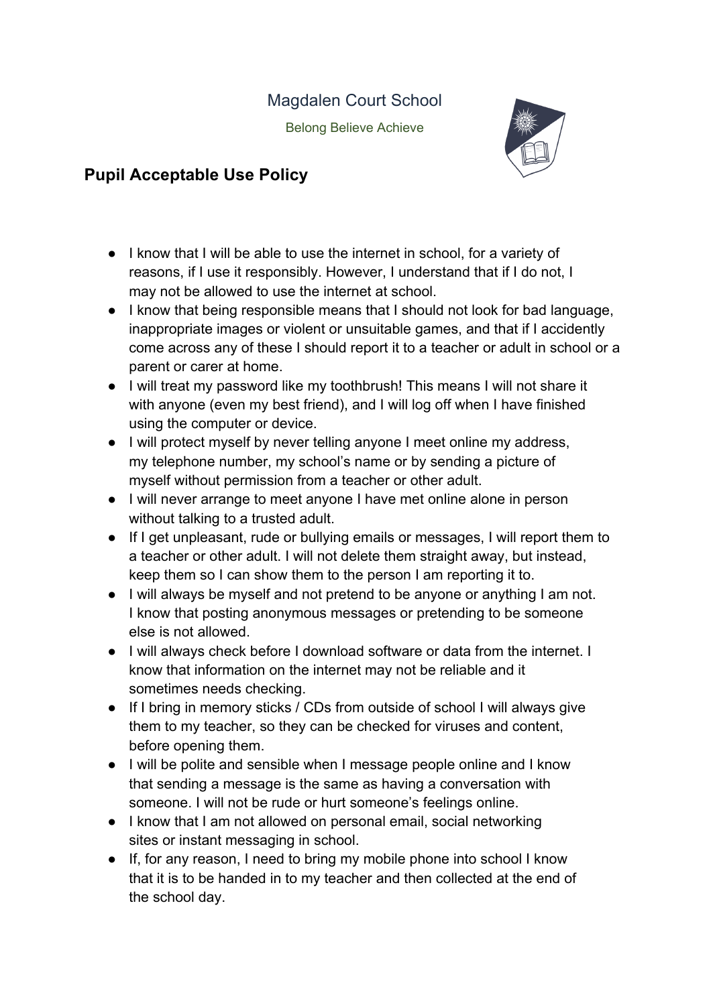Magdalen Court School

Belong Believe Achieve



## **Pupil Acceptable Use Policy**

- I know that I will be able to use the internet in school, for a variety of reasons, if I use it responsibly. However, I understand that if I do not, I may not be allowed to use the internet at school.
- I know that being responsible means that I should not look for bad language, inappropriate images or violent or unsuitable games, and that if I accidently come across any of these I should report it to a teacher or adult in school or a parent or carer at home.
- I will treat my password like my toothbrush! This means I will not share it with anyone (even my best friend), and I will log off when I have finished using the computer or device.
- I will protect myself by never telling anyone I meet online my address, my telephone number, my school's name or by sending a picture of myself without permission from a teacher or other adult.
- I will never arrange to meet anyone I have met online alone in person without talking to a trusted adult.
- If I get unpleasant, rude or bullying emails or messages, I will report them to a teacher or other adult. I will not delete them straight away, but instead, keep them so I can show them to the person I am reporting it to.
- I will always be myself and not pretend to be anyone or anything I am not. I know that posting anonymous messages or pretending to be someone else is not allowed.
- I will always check before I download software or data from the internet. I know that information on the internet may not be reliable and it sometimes needs checking.
- If I bring in memory sticks / CDs from outside of school I will always give them to my teacher, so they can be checked for viruses and content, before opening them.
- I will be polite and sensible when I message people online and I know that sending a message is the same as having a conversation with someone. I will not be rude or hurt someone's feelings online.
- I know that I am not allowed on personal email, social networking sites or instant messaging in school.
- If, for any reason, I need to bring my mobile phone into school I know that it is to be handed in to my teacher and then collected at the end of the school day.